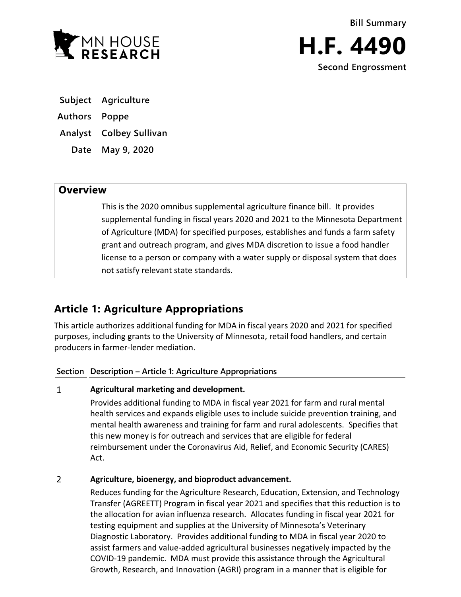



- **Subject Agriculture**
- **Authors Poppe**
- **Analyst Colbey Sullivan** 
	- **Date May 9, 2020**

# **Overview**

This is the 2020 omnibus supplemental agriculture finance bill. It provides supplemental funding in fiscal years 2020 and 2021 to the Minnesota Department of Agriculture (MDA) for specified purposes, establishes and funds a farm safety grant and outreach program, and gives MDA discretion to issue a food handler license to a person or company with a water supply or disposal system that does not satisfy relevant state standards.

# **Article 1: Agriculture Appropriations**

This article authorizes additional funding for MDA in fiscal years 2020 and 2021 for specified purposes, including grants to the University of Minnesota, retail food handlers, and certain producers in farmer-lender mediation.

## **Section Description – Article 1: Agriculture Appropriations**

#### $\mathbf{1}$ **Agricultural marketing and development.**

Provides additional funding to MDA in fiscal year 2021 for farm and rural mental health services and expands eligible uses to include suicide prevention training, and mental health awareness and training for farm and rural adolescents. Specifies that this new money is for outreach and services that are eligible for federal reimbursement under the Coronavirus Aid, Relief, and Economic Security (CARES) Act.

#### $\overline{2}$ **Agriculture, bioenergy, and bioproduct advancement.**

Reduces funding for the Agriculture Research, Education, Extension, and Technology Transfer (AGREETT) Program in fiscal year 2021 and specifies that this reduction is to the allocation for avian influenza research. Allocates funding in fiscal year 2021 for testing equipment and supplies at the University of Minnesota's Veterinary Diagnostic Laboratory. Provides additional funding to MDA in fiscal year 2020 to assist farmers and value-added agricultural businesses negatively impacted by the COVID-19 pandemic. MDA must provide this assistance through the Agricultural Growth, Research, and Innovation (AGRI) program in a manner that is eligible for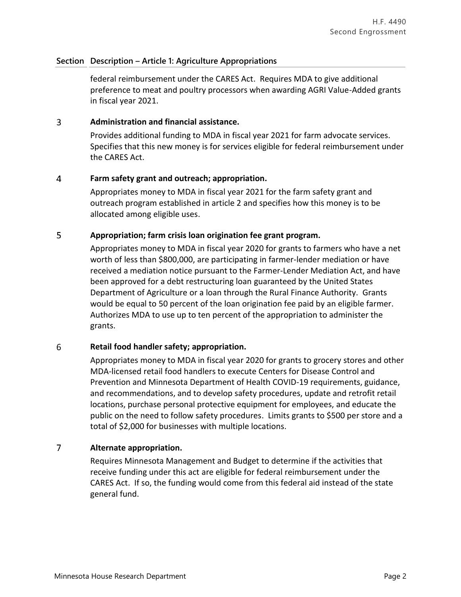### **Section Description – Article 1: Agriculture Appropriations**

federal reimbursement under the CARES Act. Requires MDA to give additional preference to meat and poultry processors when awarding AGRI Value-Added grants in fiscal year 2021.

#### 3 **Administration and financial assistance.**

Provides additional funding to MDA in fiscal year 2021 for farm advocate services. Specifies that this new money is for services eligible for federal reimbursement under the CARES Act.

#### $\overline{4}$ **Farm safety grant and outreach; appropriation.**

Appropriates money to MDA in fiscal year 2021 for the farm safety grant and outreach program established in article 2 and specifies how this money is to be allocated among eligible uses.

#### 5 **Appropriation; farm crisis loan origination fee grant program.**

Appropriates money to MDA in fiscal year 2020 for grants to farmers who have a net worth of less than \$800,000, are participating in farmer-lender mediation or have received a mediation notice pursuant to the Farmer-Lender Mediation Act, and have been approved for a debt restructuring loan guaranteed by the United States Department of Agriculture or a loan through the Rural Finance Authority. Grants would be equal to 50 percent of the loan origination fee paid by an eligible farmer. Authorizes MDA to use up to ten percent of the appropriation to administer the grants.

#### 6 **Retail food handler safety; appropriation.**

Appropriates money to MDA in fiscal year 2020 for grants to grocery stores and other MDA-licensed retail food handlers to execute Centers for Disease Control and Prevention and Minnesota Department of Health COVID-19 requirements, guidance, and recommendations, and to develop safety procedures, update and retrofit retail locations, purchase personal protective equipment for employees, and educate the public on the need to follow safety procedures. Limits grants to \$500 per store and a total of \$2,000 for businesses with multiple locations.

#### $\overline{7}$ **Alternate appropriation.**

Requires Minnesota Management and Budget to determine if the activities that receive funding under this act are eligible for federal reimbursement under the CARES Act. If so, the funding would come from this federal aid instead of the state general fund.